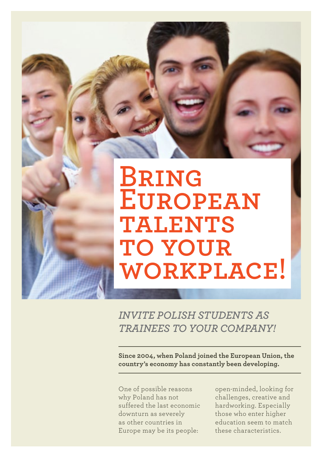# **Bring European talents to your workplace!**

*Invite Polish students as trainees to your COMPaNY!*

**Since 2004, when Poland joined the European Union, the country's economy has constantly been developing.**

One of possible reasons why Poland has not suffered the last economic downturn as severely as other countries in Europe may be its people:

open-minded, looking for challenges, creative and hardworking. Especially those who enter higher education seem to match these characteristics.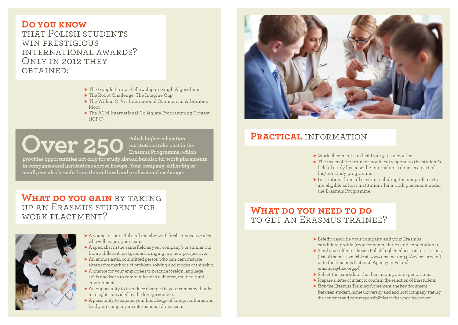#### **Do you know** that Polish students WIN PRESTIGIOUS international awards? Only in 2012 they OBTAINED:

- $\blacktriangleright$  The Google Europe Fellowship in Graph Algorithms
- $\blacktriangleright$  The Robot Challenge, The Imagine Cup
- $\blacktriangleright$  The Willem C. Vis International Commercial Arbitration Moot
- ▶ The ACM International Collegiate Programming Contest (ICPC).

**Over 250 Polish higher education**<br> **Polish higher education**<br> **Polish higher education** 

**institutions take part in the Erasmus Programme, which** 

**provides opportunities not only for study abroad but also for work placements in companies and institutions across Europe. Your company, either big or small, can also benefit from this cultural and professional exchange.**

### **WHAT DO YOU GAIN** BY TAKING up an Erasmus student for work placement?



 $\blacktriangleright$  A young, resourceful staff member with fresh, innovative ideas who will inspire your team.

- $\blacktriangleright$  A specialist in the same field as your company's or similar but from a different background, bringing in a new perspective.
- $\blacktriangleright$  An enthusiastic, committed person who can demonstrate alternative methods of problem-solving and modes of thinking.
- $\triangleright$  A chance for your employees to practice foreign language skills and learn to communicate in a diverse, multicultural environment.
- $\blacktriangleright$  An opportunity to introduce changes in your company thanks to insights provided by the foreign student.
- $\triangleright$  A possibility to expand your knowledge of foreign cultures and lend your company an international dimension.



## **Practical** information

- $\blacktriangleright$  Work placement can last from 3 to 12 months.
- $\blacktriangleright$  The tasks of the trainee should correspond to the student's field of study because the internship is done as a part of his/her study programme.
- $\blacktriangleright$  Institutions from all sectors including the nonprofit sector are eligible as host institutions for a work placement under the Erasmus Programme.

## **What do you need to do** to get an Erasmus trainee?

- $\blacktriangleright$  Briefly describe your company and your Erasmus candidate profile (requirements, duties and expectations).
- ▶ Send your offer to chosen Polish higher education institutions (list of them is available at: [www.erasmus.org.pl/wykaz-uczelni](http://www.erasmus.org.pl/wykaz-uczelni)) or to the Erasmus National Agency in Poland: [erasmus@frse.org.pl\)](mailto:erasmus@frse.org.pl).
- $\blacktriangleright$  Select the candidate that best suits your expectations.
- $\blacktriangleright$  Prepare a letter of intent to confirm the selection of the student.
- $\triangleright$  Sign the Erasmus Training Agreement, the key document between student, home university and end host company stating the contents and core responsibilities of the work placement.